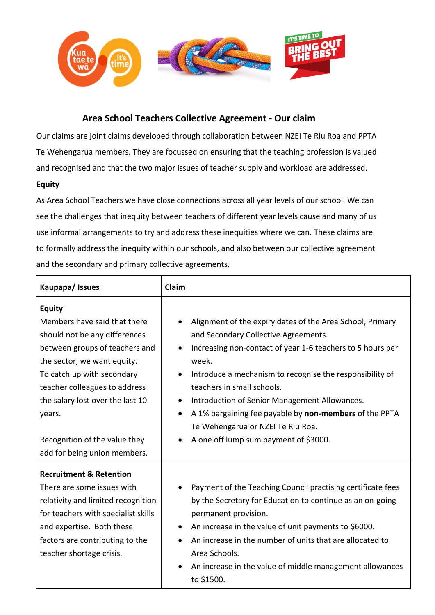

## **Area School Teachers Collective Agreement - Our claim**

Our claims are joint claims developed through collaboration between NZEI Te Riu Roa and PPTA Te Wehengarua members. They are focussed on ensuring that the teaching profession is valued and recognised and that the two major issues of teacher supply and workload are addressed.

## **Equity**

As Area School Teachers we have close connections across all year levels of our school. We can see the challenges that inequity between teachers of different year levels cause and many of us use informal arrangements to try and address these inequities where we can. These claims are to formally address the inequity within our schools, and also between our collective agreement and the secondary and primary collective agreements.

| Kaupapa/Issues                                                                                                                                                                                                                                                                                                                | Claim                                                                                                                                                                                                                                                                                                                                                                                                                                                                                              |
|-------------------------------------------------------------------------------------------------------------------------------------------------------------------------------------------------------------------------------------------------------------------------------------------------------------------------------|----------------------------------------------------------------------------------------------------------------------------------------------------------------------------------------------------------------------------------------------------------------------------------------------------------------------------------------------------------------------------------------------------------------------------------------------------------------------------------------------------|
| <b>Equity</b><br>Members have said that there<br>should not be any differences<br>between groups of teachers and<br>the sector, we want equity.<br>To catch up with secondary<br>teacher colleagues to address<br>the salary lost over the last 10<br>years.<br>Recognition of the value they<br>add for being union members. | Alignment of the expiry dates of the Area School, Primary<br>and Secondary Collective Agreements.<br>Increasing non-contact of year 1-6 teachers to 5 hours per<br>$\bullet$<br>week.<br>Introduce a mechanism to recognise the responsibility of<br>teachers in small schools.<br>Introduction of Senior Management Allowances.<br>$\bullet$<br>A 1% bargaining fee payable by non-members of the PPTA<br>$\bullet$<br>Te Wehengarua or NZEI Te Riu Roa.<br>A one off lump sum payment of \$3000. |
| <b>Recruitment &amp; Retention</b><br>There are some issues with<br>relativity and limited recognition<br>for teachers with specialist skills<br>and expertise. Both these<br>factors are contributing to the<br>teacher shortage crisis.                                                                                     | Payment of the Teaching Council practising certificate fees<br>by the Secretary for Education to continue as an on-going<br>permanent provision.<br>An increase in the value of unit payments to \$6000.<br>$\bullet$<br>An increase in the number of units that are allocated to<br>Area Schools.<br>An increase in the value of middle management allowances<br>to \$1500.                                                                                                                       |